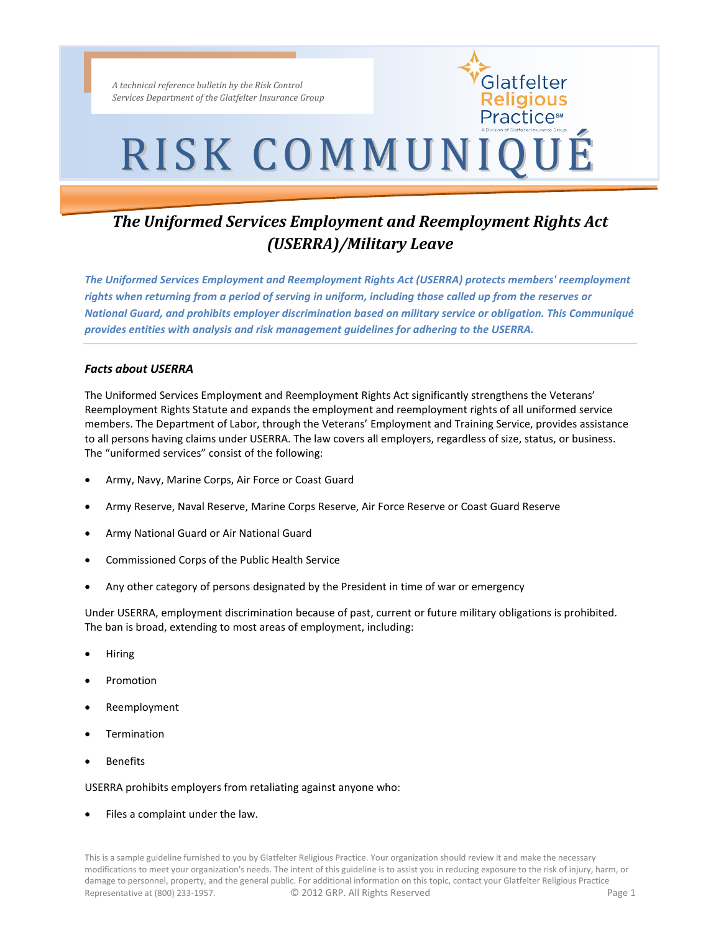*A technical reference bulletin by the Risk Control Services Department of the Glatfelter Insurance Group*

# RISK COMMUNIQUÉ

Glatfelter Religious Practice™

# *The Uniformed Services Employment and Reemployment Rights Act (USERRA)/Military Leave*

*The Uniformed Services Employment and Reemployment Rights Act (USERRA) protects members' reemployment rights when returning from a period of serving in uniform, including those called up from the reserves or National Guard, and prohibits employer discrimination based on military service or obligation. This Communiqué provides entities with analysis and risk management guidelines for adhering to the USERRA.*

## *Facts about USERRA*

The Uniformed Services Employment and Reemployment Rights Act significantly strengthens the Veterans' Reemployment Rights Statute and expands the employment and reemployment rights of all uniformed service members. The Department of Labor, through the Veterans' Employment and Training Service, provides assistance to all persons having claims under USERRA. The law covers all employers, regardless of size, status, or business. The "uniformed services" consist of the following:

- Army, Navy, Marine Corps, Air Force or Coast Guard
- Army Reserve, Naval Reserve, Marine Corps Reserve, Air Force Reserve or Coast Guard Reserve
- Army National Guard or Air National Guard
- Commissioned Corps of the Public Health Service
- Any other category of persons designated by the President in time of war or emergency

Under USERRA, employment discrimination because of past, current or future military obligations is prohibited. The ban is broad, extending to most areas of employment, including:

- Hiring
- Promotion
- Reemployment
- **Termination**
- **Benefits**

#### USERRA prohibits employers from retaliating against anyone who:

Files a complaint under the law.